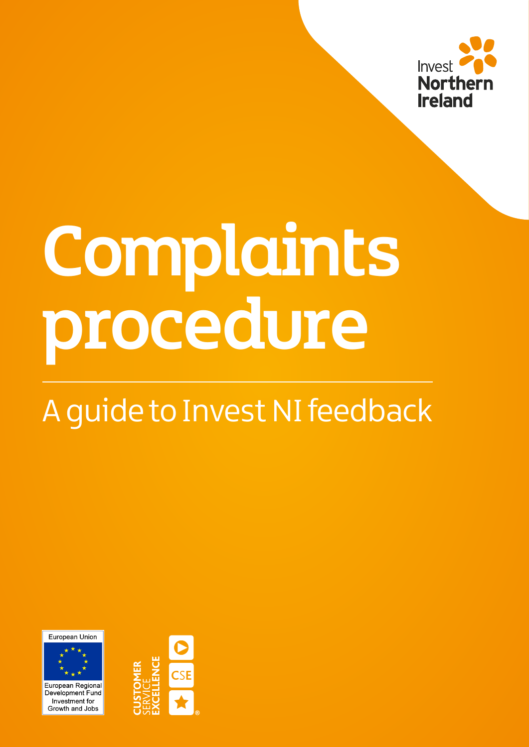

# Complaints procedure

# A guide to Invest NI feedback

European Union



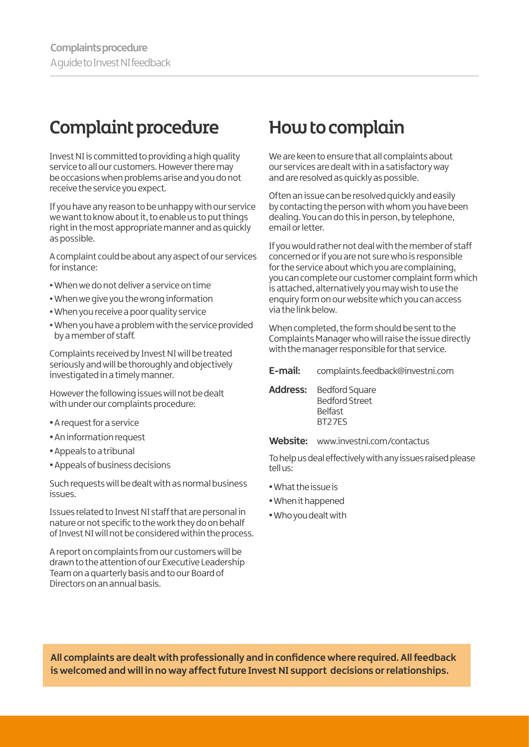# Complaint procedure

Invest NI is committed to providing a high quality service to all our customers. However there may be occasions when problems arise and you do not receive the service you expect.

If you have any reason to be unhappy with our service we want to know about it, to enable us to put things right in the most appropriate manner and as quickly as possible.

A complaint could be about any aspect of our services for instance:

- **•** When we do not deliver a service on time
- **•** When we give you the wrong information
- **•** When you receive a poor quality service
- **•**When you have a problem with the service provided by a member of staff.

Complaints received by Invest NI will be treated seriously and will be thoroughly and objectively investigated in a timely manner.

However the following issues will not be dealt with under our complaints procedure:

- **•** A request for a service
- An information request
- **•** Appeals to a tribunal
- Appeals of business decisions

Such requests will be dealt with as normal business issues.

Issues related to Invest NI staff that are personal in nature or not specific to the work they do on behalf of Invest NI will not be considered within the process.

A report on complaints from our customers will be drawn to the attention of our Executive Leadership Team on a quarterly basis and to our Board of Directors on an annual basis.

## How to complain

We are keen to ensure that all complaints about our services are dealt with in a satisfactory way and are resolved as quickly as possible.

Often an issue can be resolved quickly and easily by contacting the person with whom you have been dealing. You can do this in person, by telephone, email or letter.

If you would rather not deal with the member of staff concerned or if you are not sure who is responsible for the service about which you are complaining, you can complete our customer complaint form which is attached, alternatively you may wish to use the enquiry form on our website which you can access via the link below.

When completed, the form should be sent to the Complaints Manager who will raise the issue directly with the manager responsible for that service.

- **E-mail:** [complaints.feedback@investni.com](mailto:complaints.feedback%40investni.com?subject=)
- **Address:** Bedford Square Bedford Street Belfast BT2 7ES
- **Website:** [www.investni.com/contactus](http://www.investni.com/contactus)

To help us deal effectively with any issues raised please tell us:

- **•**What the issue is
- **•**When it happened
- **•**Who you dealt with

**All complaints are dealt with professionally and in confidence where required. All feedback is welcomed and will in no way affect future Invest NI support decisions or relationships.**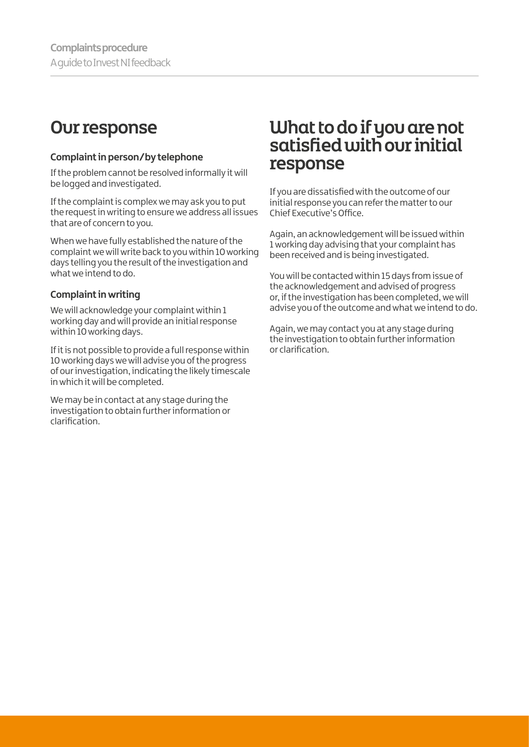#### Our response

#### **Complaint in person/by telephone**

If the problem cannot be resolved informally it will be logged and investigated.

If the complaint is complex we may ask you to put the request in writing to ensure we address all issues that are of concern to you.

When we have fully established the nature of the complaint we will write back to you within 10 working days telling you the result of the investigation and what we intend to do.

#### **Complaint in writing**

We will acknowledge your complaint within 1 working day and will provide an initial response within 10 working days.

If it is not possible to provide a full response within 10 working days we will advise you of the progress of our investigation, indicating the likely timescale in which it will be completed.

We may be in contact at any stage during the investigation to obtain further information or clarification.

#### What to do if you are not satisfied with our initial response

If you are dissatisfied with the outcome of our initial response you can refer the matter to our Chief Executive's Office.

Again, an acknowledgement will be issued within 1 working day advising that your complaint has been received and is being investigated.

You will be contacted within 15 days from issue of the acknowledgement and advised of progress or, if the investigation has been completed, we will advise you of the outcome and what we intend to do.

Again, we may contact you at any stage during the investigation to obtain further information or clarification.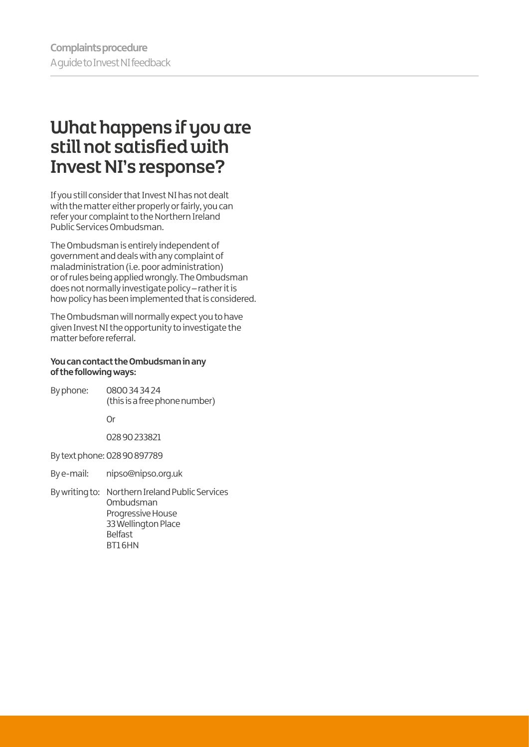#### What happens if you are still not satisfied with Invest NI's response?

If you still consider that Invest NI has not dealt with the matter either properly or fairly, you can refer your complaint to the Northern Ireland Public Services Ombudsman.

The Ombudsman is entirely independent of government and deals with any complaint of maladministration (i.e. poor administration) or of rules being applied wrongly. The Ombudsman does not normally investigate policy – rather it is how policy has been implemented that is considered.

The Ombudsman will normally expect you to have given Invest NI the opportunity to investigate the matter before referral.

#### **You can contact the Ombudsman in any of the following ways:**

- By phone: 0800 34 34 24 (this is a free phone number) Or 028 90 233821 By text phone: 028 90 897789 By e-mail: nipso@nipso[.org.uk](mailto:ombudsman%40ni-ombudsman.org.uk?subject=) By writing to: Northern Ireland Public Services
- Ombudsman Progressive House 33 Wellington Place Belfast BT1 6HN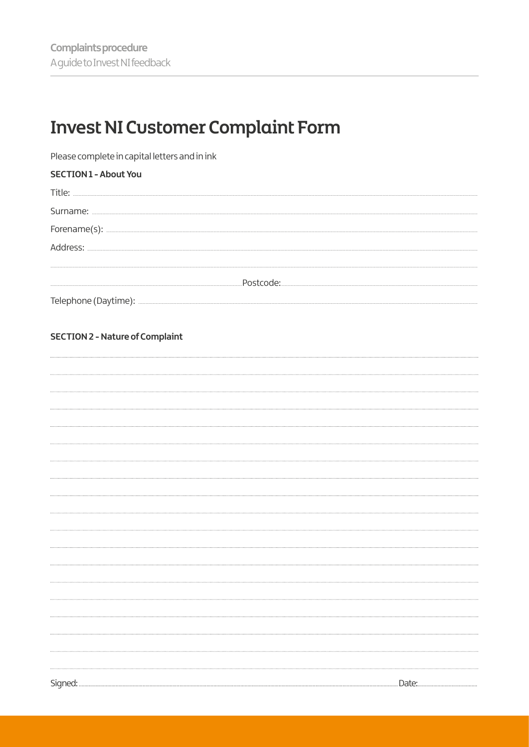# **Invest NI Customer Complaint Form**

Please complete in capital letters and in ink

| <b>SECTION1 - About You</b> |
|-----------------------------|
| Title:                      |
| Surname:                    |
| Forename(s):                |
| Address:                    |
|                             |
| .Postcode:                  |
| Telephone (Daytime):        |

#### **SECTION 2 - Nature of Complaint**

| Signed: | Date:<br>. |
|---------|------------|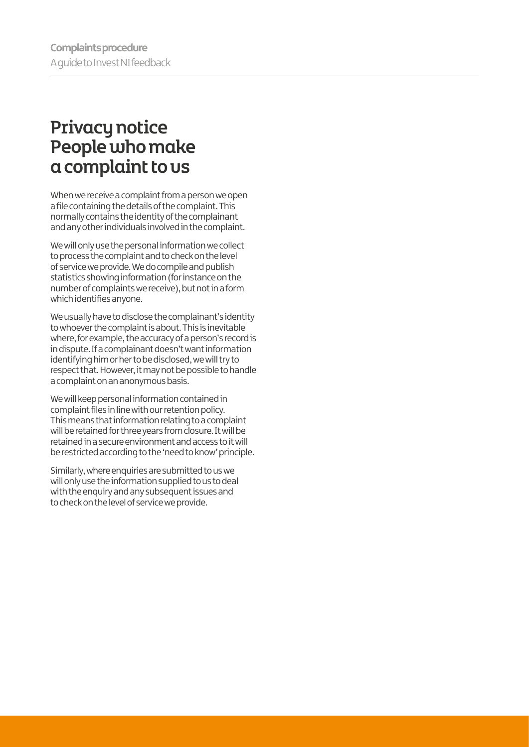## Privacy notice People who make a complaint to us

When we receive a complaint from a person we open a file containing the details of the complaint. This normally contains the identity of the complainant and any other individuals involved in the complaint.

We will only use the personal information we collect to process the complaint and to check on the level of service we provide. We do compile and publish statistics showing information (for instance on the number of complaints we receive), but not in a form which identifies anyone.

We usually have to disclose the complainant's identity to whoever the complaint is about. This is inevitable where, for example, the accuracy of a person's record is in dispute. If a complainant doesn't want information identifying him or her to be disclosed, we will try to respect that. However, it may not be possible to handle a complaint on an anonymous basis.

We will keep personal information contained in complaint files in line with our retention policy. This means that information relating to a complaint will be retained for three years from closure. It will be retained in a secure environment and access to it will be restricted according to the 'need to know' principle.

Similarly, where enquiries are submitted to us we will only use the information supplied to us to deal with the enquiry and any subsequent issues and to check on the level of service we provide.